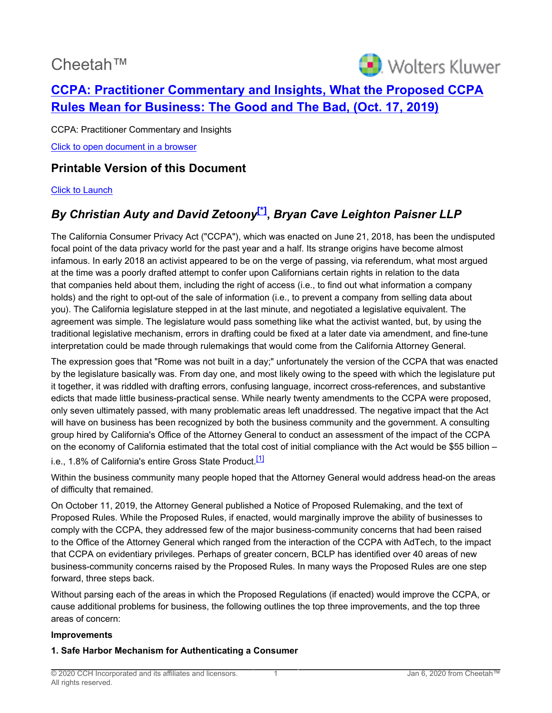# Cheetah™

<span id="page-0-0"></span>

# **[CCPA: Practitioner Commentary and Insights, What the Proposed CCPA](http://prod.resource.cch.com/resource/scion/document/default/%28%40%40PCI01+P20191017%29fd2691e27d6c1000a3fe005056885db602?cfu=Legal&cpid=WKUS-Legal-Cheetah&uAppCtx=cheetah) [Rules Mean for Business: The Good and The Bad, \(Oct. 17, 2019\)](http://prod.resource.cch.com/resource/scion/document/default/%28%40%40PCI01+P20191017%29fd2691e27d6c1000a3fe005056885db602?cfu=Legal&cpid=WKUS-Legal-Cheetah&uAppCtx=cheetah)**

CCPA: Practitioner Commentary and Insights [Click to open document in a browser](https://prod.resource.cch.com/resource/scion/document/default/%28%40%40PCI01+P20191017%29fd2691e27d6c1000a3fe005056885db602?cfu=Legal&cpid=WKUS-Legal-Cheetah&uAppCtx=cheetah)

# **Printable Version of this Document**

#### [Click to Launch](https://intelliconnect.cch.com:443/docmedia/attach/WKUS-TAL-DOCS-PHC/71/LI_Proposed-CCPA-Rules_10-2019.pdf)

# *By Christian Auty and David Zetoony***[\[\\*\]](#page-3-0) ,** *Bryan Cave Leighton Paisner LLP*

The California Consumer Privacy Act ("CCPA"), which was enacted on June 21, 2018, has been the undisputed focal point of the data privacy world for the past year and a half. Its strange origins have become almost infamous. In early 2018 an activist appeared to be on the verge of passing, via referendum, what most argued at the time was a poorly drafted attempt to confer upon Californians certain rights in relation to the data that companies held about them, including the right of access (i.e., to find out what information a company holds) and the right to opt-out of the sale of information (i.e., to prevent a company from selling data about you). The California legislature stepped in at the last minute, and negotiated a legislative equivalent. The agreement was simple. The legislature would pass something like what the activist wanted, but, by using the traditional legislative mechanism, errors in drafting could be fixed at a later date via amendment, and fine-tune interpretation could be made through rulemakings that would come from the California Attorney General.

The expression goes that "Rome was not built in a day;" unfortunately the version of the CCPA that was enacted by the legislature basically was. From day one, and most likely owing to the speed with which the legislature put it together, it was riddled with drafting errors, confusing language, incorrect cross-references, and substantive edicts that made little business-practical sense. While nearly twenty amendments to the CCPA were proposed, only seven ultimately passed, with many problematic areas left unaddressed. The negative impact that the Act will have on business has been recognized by both the business community and the government. A consulting group hired by California's Office of the Attorney General to conduct an assessment of the impact of the CCPA on the economy of California estimated that the total cost of initial compliance with the Act would be \$55 billion – i.e., 1.8% of California's entire Gross State Product.<sup>[\[1\]](#page-3-1)</sup>

<span id="page-0-1"></span>Within the business community many people hoped that the Attorney General would address head-on the areas of difficulty that remained.

On October 11, 2019, the Attorney General published a Notice of Proposed Rulemaking, and the text of Proposed Rules. While the Proposed Rules, if enacted, would marginally improve the ability of businesses to comply with the CCPA, they addressed few of the major business-community concerns that had been raised to the Office of the Attorney General which ranged from the interaction of the CCPA with AdTech, to the impact that CCPA on evidentiary privileges. Perhaps of greater concern, BCLP has identified over 40 areas of new business-community concerns raised by the Proposed Rules. In many ways the Proposed Rules are one step forward, three steps back.

Without parsing each of the areas in which the Proposed Regulations (if enacted) would improve the CCPA, or cause additional problems for business, the following outlines the top three improvements, and the top three areas of concern:

#### **Improvements**

#### **1. Safe Harbor Mechanism for Authenticating a Consumer**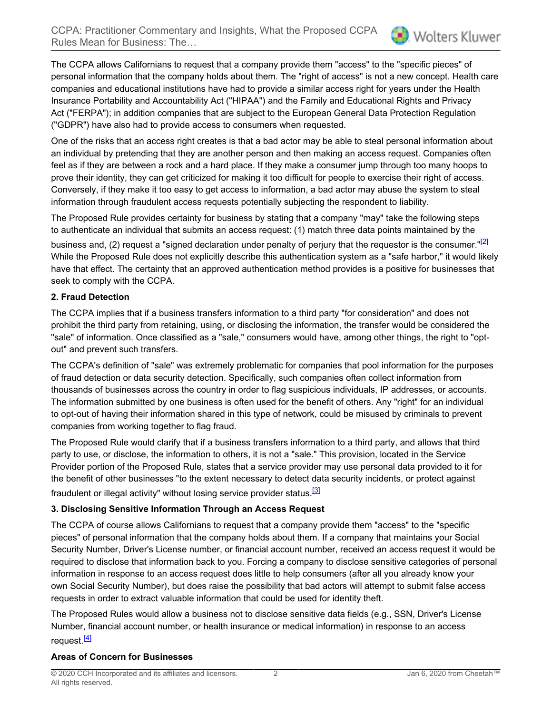The CCPA allows Californians to request that a company provide them "access" to the "specific pieces" of personal information that the company holds about them. The "right of access" is not a new concept. Health care companies and educational institutions have had to provide a similar access right for years under the Health Insurance Portability and Accountability Act ("HIPAA") and the Family and Educational Rights and Privacy Act ("FERPA"); in addition companies that are subject to the European General Data Protection Regulation ("GDPR") have also had to provide access to consumers when requested.

One of the risks that an access right creates is that a bad actor may be able to steal personal information about an individual by pretending that they are another person and then making an access request. Companies often feel as if they are between a rock and a hard place. If they make a consumer jump through too many hoops to prove their identity, they can get criticized for making it too difficult for people to exercise their right of access. Conversely, if they make it too easy to get access to information, a bad actor may abuse the system to steal information through fraudulent access requests potentially subjecting the respondent to liability.

The Proposed Rule provides certainty for business by stating that a company "may" take the following steps to authenticate an individual that submits an access request: (1) match three data points maintained by the

<span id="page-1-0"></span>business and, (2) request a "signed declaration under penalty of perjury that the requestor is the consumer."<sup>[\[2\]](#page-3-2)</sup> While the Proposed Rule does not explicitly describe this authentication system as a "safe harbor," it would likely have that effect. The certainty that an approved authentication method provides is a positive for businesses that seek to comply with the CCPA.

## **2. Fraud Detection**

The CCPA implies that if a business transfers information to a third party "for consideration" and does not prohibit the third party from retaining, using, or disclosing the information, the transfer would be considered the "sale" of information. Once classified as a "sale," consumers would have, among other things, the right to "optout" and prevent such transfers.

The CCPA's definition of "sale" was extremely problematic for companies that pool information for the purposes of fraud detection or data security detection. Specifically, such companies often collect information from thousands of businesses across the country in order to flag suspicious individuals, IP addresses, or accounts. The information submitted by one business is often used for the benefit of others. Any "right" for an individual to opt-out of having their information shared in this type of network, could be misused by criminals to prevent companies from working together to flag fraud.

The Proposed Rule would clarify that if a business transfers information to a third party, and allows that third party to use, or disclose, the information to others, it is not a "sale." This provision, located in the Service Provider portion of the Proposed Rule, states that a service provider may use personal data provided to it for the benefit of other businesses "to the extent necessary to detect data security incidents, or protect against fraudulent or illegal activity" without losing service provider status.<sup>[\[3\]](#page-3-3)</sup>

## <span id="page-1-1"></span>**3. Disclosing Sensitive Information Through an Access Request**

The CCPA of course allows Californians to request that a company provide them "access" to the "specific pieces" of personal information that the company holds about them. If a company that maintains your Social Security Number, Driver's License number, or financial account number, received an access request it would be required to disclose that information back to you. Forcing a company to disclose sensitive categories of personal information in response to an access request does little to help consumers (after all you already know your own Social Security Number), but does raise the possibility that bad actors will attempt to submit false access requests in order to extract valuable information that could be used for identity theft.

The Proposed Rules would allow a business not to disclose sensitive data fields (e.g., SSN, Driver's License Number, financial account number, or health insurance or medical information) in response to an access request<sup>[\[4\]](#page-3-4)</sup>

## <span id="page-1-2"></span>**Areas of Concern for Businesses**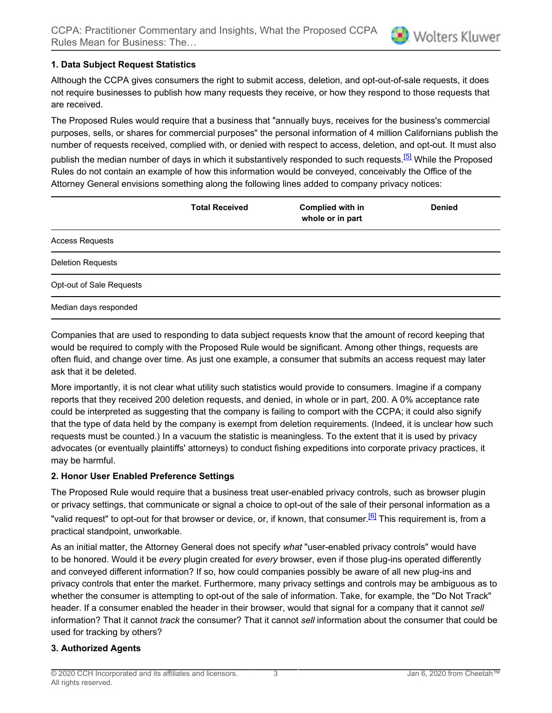### **1. Data Subject Request Statistics**

Although the CCPA gives consumers the right to submit access, deletion, and opt-out-of-sale requests, it does not require businesses to publish how many requests they receive, or how they respond to those requests that are received.

The Proposed Rules would require that a business that "annually buys, receives for the business's commercial purposes, sells, or shares for commercial purposes" the personal information of 4 million Californians publish the number of requests received, complied with, or denied with respect to access, deletion, and opt-out. It must also

<span id="page-2-0"></span>publish the median number of days in which it substantively responded to such requests.<sup>[\[5\]](#page-3-5)</sup> While the Proposed Rules do not contain an example of how this information would be conveyed, conceivably the Office of the Attorney General envisions something along the following lines added to company privacy notices:

|                          | <b>Total Received</b> | <b>Complied with in</b><br>whole or in part | <b>Denied</b> |
|--------------------------|-----------------------|---------------------------------------------|---------------|
| <b>Access Requests</b>   |                       |                                             |               |
| <b>Deletion Requests</b> |                       |                                             |               |
| Opt-out of Sale Requests |                       |                                             |               |
| Median days responded    |                       |                                             |               |

Companies that are used to responding to data subject requests know that the amount of record keeping that would be required to comply with the Proposed Rule would be significant. Among other things, requests are often fluid, and change over time. As just one example, a consumer that submits an access request may later ask that it be deleted.

More importantly, it is not clear what utility such statistics would provide to consumers. Imagine if a company reports that they received 200 deletion requests, and denied, in whole or in part, 200. A 0% acceptance rate could be interpreted as suggesting that the company is failing to comport with the CCPA; it could also signify that the type of data held by the company is exempt from deletion requirements. (Indeed, it is unclear how such requests must be counted.) In a vacuum the statistic is meaningless. To the extent that it is used by privacy advocates (or eventually plaintiffs' attorneys) to conduct fishing expeditions into corporate privacy practices, it may be harmful.

#### **2. Honor User Enabled Preference Settings**

<span id="page-2-1"></span>The Proposed Rule would require that a business treat user-enabled privacy controls, such as browser plugin or privacy settings, that communicate or signal a choice to opt-out of the sale of their personal information as a "valid request" to opt-out for that browser or device, or, if known, that consumer.<sup>[\[6\]](#page-3-6)</sup> This requirement is, from a practical standpoint, unworkable.

As an initial matter, the Attorney General does not specify *what* "user-enabled privacy controls" would have to be honored. Would it be *every* plugin created for *every* browser, even if those plug-ins operated differently and conveyed different information? If so, how could companies possibly be aware of all new plug-ins and privacy controls that enter the market. Furthermore, many privacy settings and controls may be ambiguous as to whether the consumer is attempting to opt-out of the sale of information. Take, for example, the "Do Not Track" header. If a consumer enabled the header in their browser, would that signal for a company that it cannot *sell* information? That it cannot *track* the consumer? That it cannot *sell* information about the consumer that could be used for tracking by others?

#### **3. Authorized Agents**